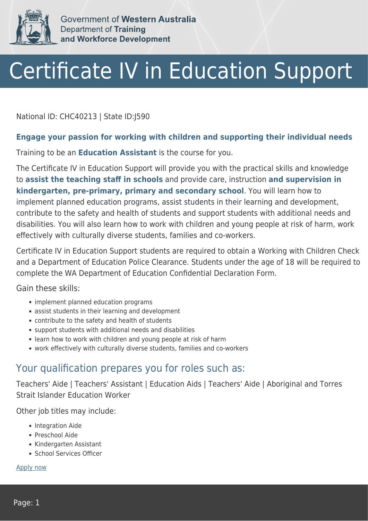

Government of Western Australia Department of Training and Workforce Development

# Certificate IV in Education Support

National ID: CHC40213 | State ID:J590

#### **Engage your passion for working with children and supporting their individual needs**

Training to be an **Education Assistant** is the course for you.

The Certificate IV in Education Support will provide you with the practical skills and knowledge to **assist the teaching staff in schools** and provide care, instruction **and supervision in kindergarten, pre-primary, primary and secondary school**. You will learn how to implement planned education programs, assist students in their learning and development, contribute to the safety and health of students and support students with additional needs and disabilities. You will also learn how to work with children and young people at risk of harm, work effectively with culturally diverse students, families and co-workers.

Certificate IV in Education Support students are required to obtain a Working with Children Check and a Department of Education Police Clearance. Students under the age of 18 will be required to complete the WA Department of Education Confidential Declaration Form.

Gain these skills:

- implement planned education programs
- assist students in their learning and development
- contribute to the safety and health of students
- support students with additional needs and disabilities
- learn how to work with children and young people at risk of harm
- work effectively with culturally diverse students, families and co-workers

#### Your qualification prepares you for roles such as:

Teachers' Aide | Teachers' Assistant | Education Aids | Teachers' Aide | Aboriginal and Torres Strait Islander Education Worker

Other job titles may include:

- Integration Aide
- Preschool Aide
- Kindergarten Assistant
- School Services Officer

[Apply now](https://tasonline.tafe.wa.edu.au/Default.aspx)